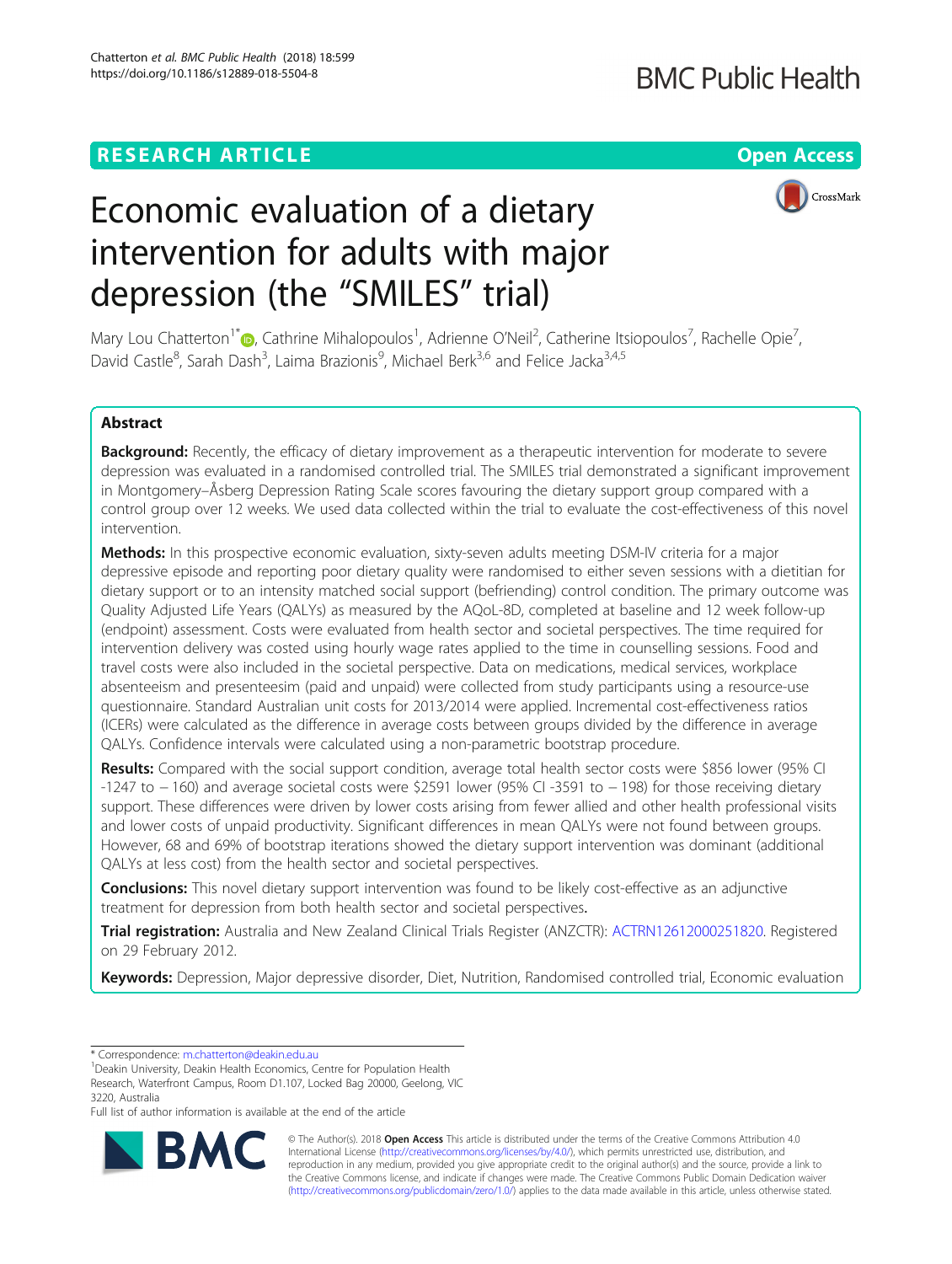### **RESEARCH ARTICLE Example 2014 12:30 The Contract of Contract ACCESS**

## **BMC Public Health**

# Economic evaluation of a dietary intervention for adults with major depression (the "SMILES" trial)

CrossMark



#### Abstract

Background: Recently, the efficacy of dietary improvement as a therapeutic intervention for moderate to severe depression was evaluated in a randomised controlled trial. The SMILES trial demonstrated a significant improvement in Montgomery–Åsberg Depression Rating Scale scores favouring the dietary support group compared with a control group over 12 weeks. We used data collected within the trial to evaluate the cost-effectiveness of this novel intervention.

Methods: In this prospective economic evaluation, sixty-seven adults meeting DSM-IV criteria for a major depressive episode and reporting poor dietary quality were randomised to either seven sessions with a dietitian for dietary support or to an intensity matched social support (befriending) control condition. The primary outcome was Quality Adjusted Life Years (QALYs) as measured by the AQoL-8D, completed at baseline and 12 week follow-up (endpoint) assessment. Costs were evaluated from health sector and societal perspectives. The time required for intervention delivery was costed using hourly wage rates applied to the time in counselling sessions. Food and travel costs were also included in the societal perspective. Data on medications, medical services, workplace absenteeism and presenteesim (paid and unpaid) were collected from study participants using a resource-use questionnaire. Standard Australian unit costs for 2013/2014 were applied. Incremental cost-effectiveness ratios (ICERs) were calculated as the difference in average costs between groups divided by the difference in average QALYs. Confidence intervals were calculated using a non-parametric bootstrap procedure.

Results: Compared with the social support condition, average total health sector costs were \$856 lower (95% CI -1247 to − 160) and average societal costs were \$2591 lower (95% CI -3591 to − 198) for those receiving dietary support. These differences were driven by lower costs arising from fewer allied and other health professional visits and lower costs of unpaid productivity. Significant differences in mean QALYs were not found between groups. However, 68 and 69% of bootstrap iterations showed the dietary support intervention was dominant (additional QALYs at less cost) from the health sector and societal perspectives.

**Conclusions:** This novel dietary support intervention was found to be likely cost-effective as an adjunctive treatment for depression from both health sector and societal perspectives.

Trial registration: Australia and New Zealand Clinical Trials Register (ANZCTR): [ACTRN12612000251820.](https://www.anzctr.org.au/Trial/Registration/TrialReview.aspx?id=362117) Registered on 29 February 2012.

Keywords: Depression, Major depressive disorder, Diet, Nutrition, Randomised controlled trial, Economic evaluation

\* Correspondence: [m.chatterton@deakin.edu.au](mailto:m.chatterton@deakin.edu.au) <sup>1</sup>

Full list of author information is available at the end of the article



© The Author(s). 2018 Open Access This article is distributed under the terms of the Creative Commons Attribution 4.0 International License [\(http://creativecommons.org/licenses/by/4.0/](http://creativecommons.org/licenses/by/4.0/)), which permits unrestricted use, distribution, and reproduction in any medium, provided you give appropriate credit to the original author(s) and the source, provide a link to the Creative Commons license, and indicate if changes were made. The Creative Commons Public Domain Dedication waiver [\(http://creativecommons.org/publicdomain/zero/1.0/](http://creativecommons.org/publicdomain/zero/1.0/)) applies to the data made available in this article, unless otherwise stated.

<sup>&</sup>lt;sup>1</sup> Deakin University, Deakin Health Economics, Centre for Population Health Research, Waterfront Campus, Room D1.107, Locked Bag 20000, Geelong, VIC 3220, Australia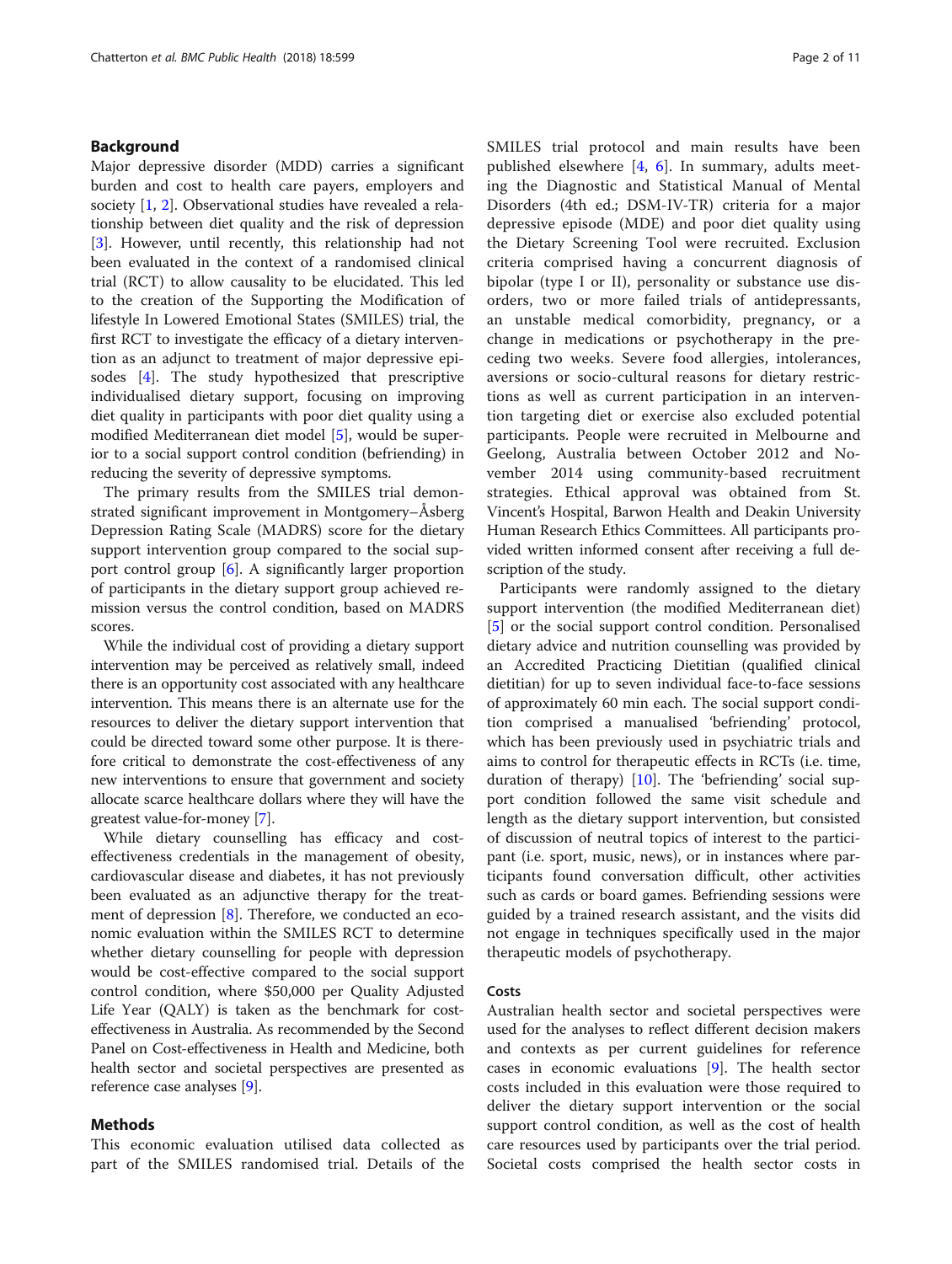#### Background

Major depressive disorder (MDD) carries a significant burden and cost to health care payers, employers and society [[1,](#page-9-0) [2\]](#page-9-0). Observational studies have revealed a relationship between diet quality and the risk of depression [[3\]](#page-9-0). However, until recently, this relationship had not been evaluated in the context of a randomised clinical trial (RCT) to allow causality to be elucidated. This led to the creation of the Supporting the Modification of lifestyle In Lowered Emotional States (SMILES) trial, the first RCT to investigate the efficacy of a dietary intervention as an adjunct to treatment of major depressive episodes [\[4](#page-9-0)]. The study hypothesized that prescriptive individualised dietary support, focusing on improving diet quality in participants with poor diet quality using a modified Mediterranean diet model [\[5](#page-9-0)], would be superior to a social support control condition (befriending) in reducing the severity of depressive symptoms.

The primary results from the SMILES trial demonstrated significant improvement in Montgomery–Åsberg Depression Rating Scale (MADRS) score for the dietary support intervention group compared to the social support control group [[6\]](#page-9-0). A significantly larger proportion of participants in the dietary support group achieved remission versus the control condition, based on MADRS scores.

While the individual cost of providing a dietary support intervention may be perceived as relatively small, indeed there is an opportunity cost associated with any healthcare intervention. This means there is an alternate use for the resources to deliver the dietary support intervention that could be directed toward some other purpose. It is therefore critical to demonstrate the cost-effectiveness of any new interventions to ensure that government and society allocate scarce healthcare dollars where they will have the greatest value-for-money [\[7\]](#page-9-0).

While dietary counselling has efficacy and costeffectiveness credentials in the management of obesity, cardiovascular disease and diabetes, it has not previously been evaluated as an adjunctive therapy for the treatment of depression [[8](#page-9-0)]. Therefore, we conducted an economic evaluation within the SMILES RCT to determine whether dietary counselling for people with depression would be cost-effective compared to the social support control condition, where \$50,000 per Quality Adjusted Life Year (QALY) is taken as the benchmark for costeffectiveness in Australia. As recommended by the Second Panel on Cost-effectiveness in Health and Medicine, both health sector and societal perspectives are presented as reference case analyses [[9\]](#page-9-0).

#### Methods

This economic evaluation utilised data collected as part of the SMILES randomised trial. Details of the SMILES trial protocol and main results have been published elsewhere [\[4](#page-9-0), [6](#page-9-0)]. In summary, adults meeting the Diagnostic and Statistical Manual of Mental Disorders (4th ed.; DSM-IV-TR) criteria for a major depressive episode (MDE) and poor diet quality using the Dietary Screening Tool were recruited. Exclusion criteria comprised having a concurrent diagnosis of bipolar (type I or II), personality or substance use disorders, two or more failed trials of antidepressants, an unstable medical comorbidity, pregnancy, or a change in medications or psychotherapy in the preceding two weeks. Severe food allergies, intolerances, aversions or socio-cultural reasons for dietary restrictions as well as current participation in an intervention targeting diet or exercise also excluded potential participants. People were recruited in Melbourne and Geelong, Australia between October 2012 and November 2014 using community-based recruitment strategies. Ethical approval was obtained from St. Vincent's Hospital, Barwon Health and Deakin University Human Research Ethics Committees. All participants provided written informed consent after receiving a full description of the study.

Participants were randomly assigned to the dietary support intervention (the modified Mediterranean diet) [[5\]](#page-9-0) or the social support control condition. Personalised dietary advice and nutrition counselling was provided by an Accredited Practicing Dietitian (qualified clinical dietitian) for up to seven individual face-to-face sessions of approximately 60 min each. The social support condition comprised a manualised 'befriending' protocol, which has been previously used in psychiatric trials and aims to control for therapeutic effects in RCTs (i.e. time, duration of therapy) [\[10](#page-9-0)]. The 'befriending' social support condition followed the same visit schedule and length as the dietary support intervention, but consisted of discussion of neutral topics of interest to the participant (i.e. sport, music, news), or in instances where participants found conversation difficult, other activities such as cards or board games. Befriending sessions were guided by a trained research assistant, and the visits did not engage in techniques specifically used in the major therapeutic models of psychotherapy.

#### Costs

Australian health sector and societal perspectives were used for the analyses to reflect different decision makers and contexts as per current guidelines for reference cases in economic evaluations [\[9](#page-9-0)]. The health sector costs included in this evaluation were those required to deliver the dietary support intervention or the social support control condition, as well as the cost of health care resources used by participants over the trial period. Societal costs comprised the health sector costs in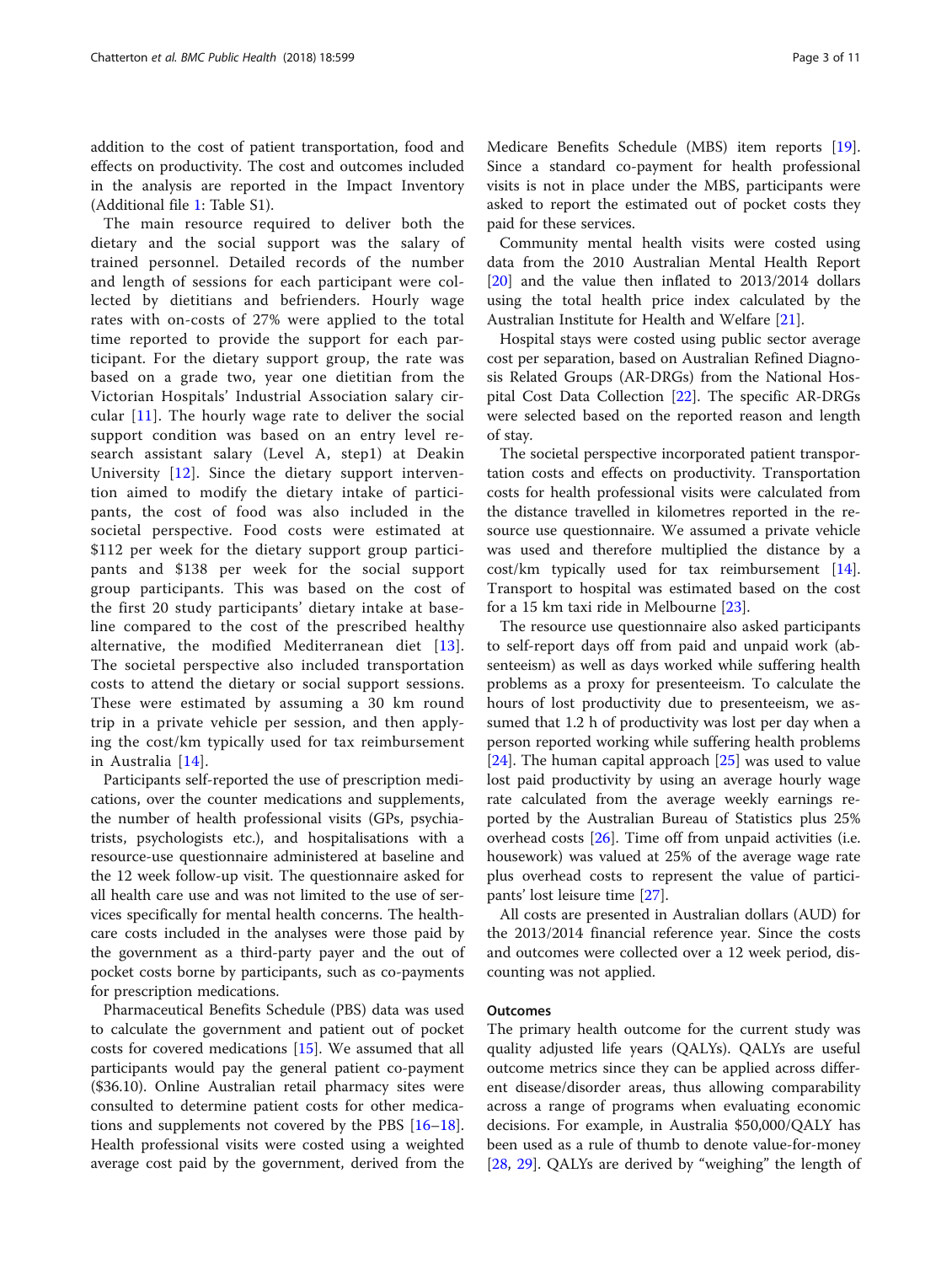addition to the cost of patient transportation, food and effects on productivity. The cost and outcomes included in the analysis are reported in the Impact Inventory (Additional file [1](#page-8-0): Table S1).

The main resource required to deliver both the dietary and the social support was the salary of trained personnel. Detailed records of the number and length of sessions for each participant were collected by dietitians and befrienders. Hourly wage rates with on-costs of 27% were applied to the total time reported to provide the support for each participant. For the dietary support group, the rate was based on a grade two, year one dietitian from the Victorian Hospitals' Industrial Association salary circular [\[11\]](#page-9-0). The hourly wage rate to deliver the social support condition was based on an entry level research assistant salary (Level A, step1) at Deakin University [\[12](#page-9-0)]. Since the dietary support intervention aimed to modify the dietary intake of participants, the cost of food was also included in the societal perspective. Food costs were estimated at \$112 per week for the dietary support group participants and \$138 per week for the social support group participants. This was based on the cost of the first 20 study participants' dietary intake at baseline compared to the cost of the prescribed healthy alternative, the modified Mediterranean diet [[13](#page-9-0)]. The societal perspective also included transportation costs to attend the dietary or social support sessions. These were estimated by assuming a 30 km round trip in a private vehicle per session, and then applying the cost/km typically used for tax reimbursement in Australia [[14\]](#page-9-0).

Participants self-reported the use of prescription medications, over the counter medications and supplements, the number of health professional visits (GPs, psychiatrists, psychologists etc.), and hospitalisations with a resource-use questionnaire administered at baseline and the 12 week follow-up visit. The questionnaire asked for all health care use and was not limited to the use of services specifically for mental health concerns. The healthcare costs included in the analyses were those paid by the government as a third-party payer and the out of pocket costs borne by participants, such as co-payments for prescription medications.

Pharmaceutical Benefits Schedule (PBS) data was used to calculate the government and patient out of pocket costs for covered medications [[15](#page-9-0)]. We assumed that all participants would pay the general patient co-payment (\$36.10). Online Australian retail pharmacy sites were consulted to determine patient costs for other medications and supplements not covered by the PBS [[16](#page-9-0)–[18](#page-9-0)]. Health professional visits were costed using a weighted average cost paid by the government, derived from the Medicare Benefits Schedule (MBS) item reports [\[19](#page-9-0)]. Since a standard co-payment for health professional visits is not in place under the MBS, participants were asked to report the estimated out of pocket costs they paid for these services.

Community mental health visits were costed using data from the 2010 Australian Mental Health Report [[20\]](#page-9-0) and the value then inflated to 2013/2014 dollars using the total health price index calculated by the Australian Institute for Health and Welfare [\[21](#page-9-0)].

Hospital stays were costed using public sector average cost per separation, based on Australian Refined Diagnosis Related Groups (AR-DRGs) from the National Hospital Cost Data Collection [\[22](#page-9-0)]. The specific AR-DRGs were selected based on the reported reason and length of stay.

The societal perspective incorporated patient transportation costs and effects on productivity. Transportation costs for health professional visits were calculated from the distance travelled in kilometres reported in the resource use questionnaire. We assumed a private vehicle was used and therefore multiplied the distance by a cost/km typically used for tax reimbursement [\[14](#page-9-0)]. Transport to hospital was estimated based on the cost for a 15 km taxi ride in Melbourne [\[23](#page-9-0)].

The resource use questionnaire also asked participants to self-report days off from paid and unpaid work (absenteeism) as well as days worked while suffering health problems as a proxy for presenteeism. To calculate the hours of lost productivity due to presenteeism, we assumed that 1.2 h of productivity was lost per day when a person reported working while suffering health problems [[24\]](#page-9-0). The human capital approach  $[25]$  $[25]$  was used to value lost paid productivity by using an average hourly wage rate calculated from the average weekly earnings reported by the Australian Bureau of Statistics plus 25% overhead costs [\[26](#page-9-0)]. Time off from unpaid activities (i.e. housework) was valued at 25% of the average wage rate plus overhead costs to represent the value of participants' lost leisure time [\[27](#page-9-0)].

All costs are presented in Australian dollars (AUD) for the 2013/2014 financial reference year. Since the costs and outcomes were collected over a 12 week period, discounting was not applied.

#### Outcomes

The primary health outcome for the current study was quality adjusted life years (QALYs). QALYs are useful outcome metrics since they can be applied across different disease/disorder areas, thus allowing comparability across a range of programs when evaluating economic decisions. For example, in Australia \$50,000/QALY has been used as a rule of thumb to denote value-for-money [[28,](#page-9-0) [29](#page-9-0)]. QALYs are derived by "weighing" the length of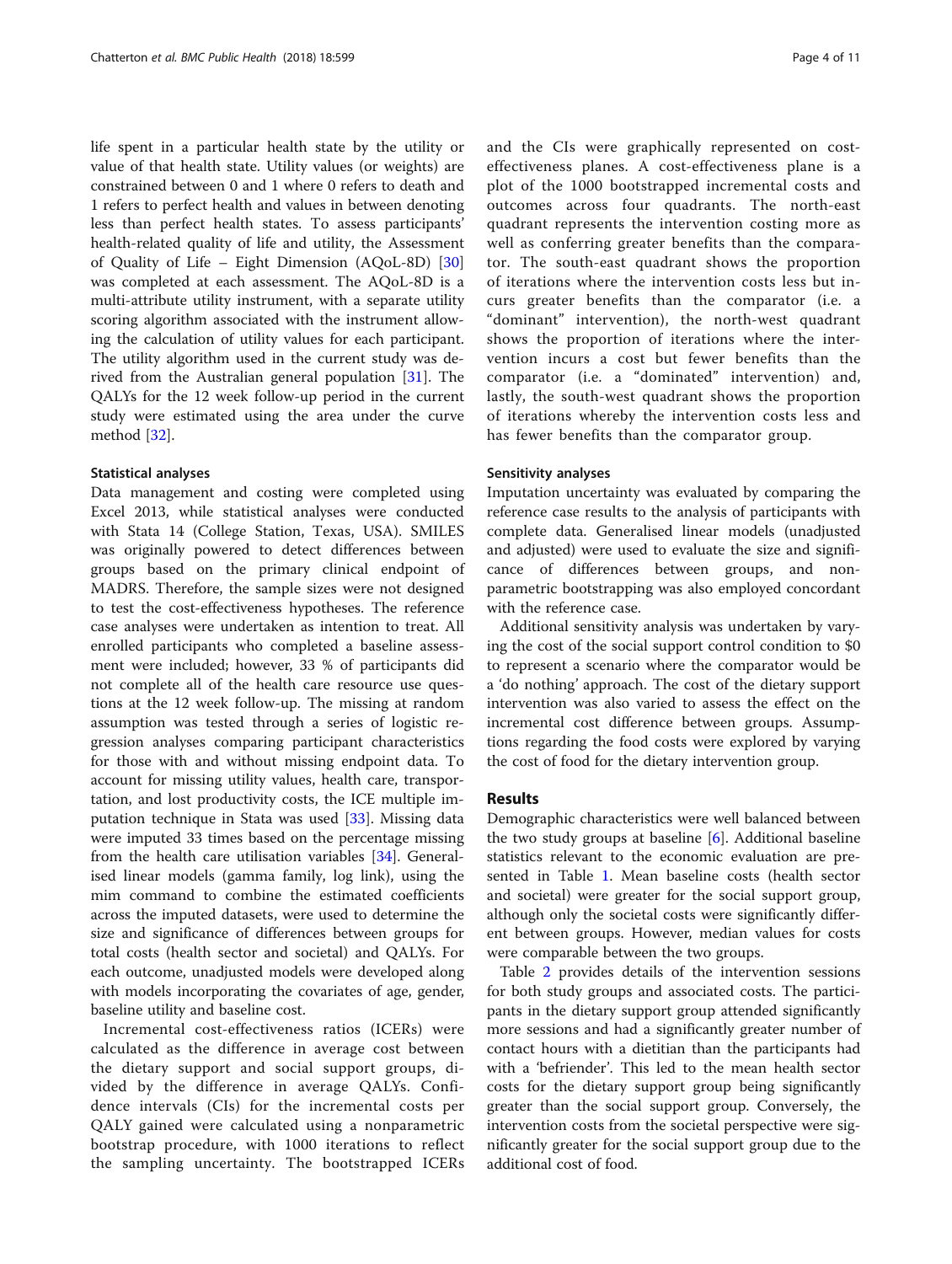life spent in a particular health state by the utility or value of that health state. Utility values (or weights) are constrained between 0 and 1 where 0 refers to death and 1 refers to perfect health and values in between denoting less than perfect health states. To assess participants' health-related quality of life and utility, the Assessment of Quality of Life – Eight Dimension (AQoL-8D) [[30](#page-9-0)] was completed at each assessment. The AQoL-8D is a multi-attribute utility instrument, with a separate utility scoring algorithm associated with the instrument allowing the calculation of utility values for each participant. The utility algorithm used in the current study was derived from the Australian general population [[31\]](#page-9-0). The QALYs for the 12 week follow-up period in the current study were estimated using the area under the curve method [\[32](#page-9-0)].

#### Statistical analyses

Data management and costing were completed using Excel 2013, while statistical analyses were conducted with Stata 14 (College Station, Texas, USA). SMILES was originally powered to detect differences between groups based on the primary clinical endpoint of MADRS. Therefore, the sample sizes were not designed to test the cost-effectiveness hypotheses. The reference case analyses were undertaken as intention to treat. All enrolled participants who completed a baseline assessment were included; however, 33 % of participants did not complete all of the health care resource use questions at the 12 week follow-up. The missing at random assumption was tested through a series of logistic regression analyses comparing participant characteristics for those with and without missing endpoint data. To account for missing utility values, health care, transportation, and lost productivity costs, the ICE multiple imputation technique in Stata was used [[33\]](#page-9-0). Missing data were imputed 33 times based on the percentage missing from the health care utilisation variables [[34](#page-9-0)]. Generalised linear models (gamma family, log link), using the mim command to combine the estimated coefficients across the imputed datasets, were used to determine the size and significance of differences between groups for total costs (health sector and societal) and QALYs. For each outcome, unadjusted models were developed along with models incorporating the covariates of age, gender, baseline utility and baseline cost.

Incremental cost-effectiveness ratios (ICERs) were calculated as the difference in average cost between the dietary support and social support groups, divided by the difference in average QALYs. Confidence intervals (CIs) for the incremental costs per QALY gained were calculated using a nonparametric bootstrap procedure, with 1000 iterations to reflect the sampling uncertainty. The bootstrapped ICERs and the CIs were graphically represented on costeffectiveness planes. A cost-effectiveness plane is a plot of the 1000 bootstrapped incremental costs and outcomes across four quadrants. The north-east quadrant represents the intervention costing more as well as conferring greater benefits than the comparator. The south-east quadrant shows the proportion of iterations where the intervention costs less but incurs greater benefits than the comparator (i.e. a "dominant" intervention), the north-west quadrant shows the proportion of iterations where the intervention incurs a cost but fewer benefits than the comparator (i.e. a "dominated" intervention) and, lastly, the south-west quadrant shows the proportion of iterations whereby the intervention costs less and has fewer benefits than the comparator group.

#### Sensitivity analyses

Imputation uncertainty was evaluated by comparing the reference case results to the analysis of participants with complete data. Generalised linear models (unadjusted and adjusted) were used to evaluate the size and significance of differences between groups, and nonparametric bootstrapping was also employed concordant with the reference case.

Additional sensitivity analysis was undertaken by varying the cost of the social support control condition to \$0 to represent a scenario where the comparator would be a 'do nothing' approach. The cost of the dietary support intervention was also varied to assess the effect on the incremental cost difference between groups. Assumptions regarding the food costs were explored by varying the cost of food for the dietary intervention group.

#### Results

Demographic characteristics were well balanced between the two study groups at baseline  $[6]$  $[6]$ . Additional baseline statistics relevant to the economic evaluation are presented in Table [1](#page-4-0). Mean baseline costs (health sector and societal) were greater for the social support group, although only the societal costs were significantly different between groups. However, median values for costs were comparable between the two groups.

Table [2](#page-4-0) provides details of the intervention sessions for both study groups and associated costs. The participants in the dietary support group attended significantly more sessions and had a significantly greater number of contact hours with a dietitian than the participants had with a 'befriender'. This led to the mean health sector costs for the dietary support group being significantly greater than the social support group. Conversely, the intervention costs from the societal perspective were significantly greater for the social support group due to the additional cost of food.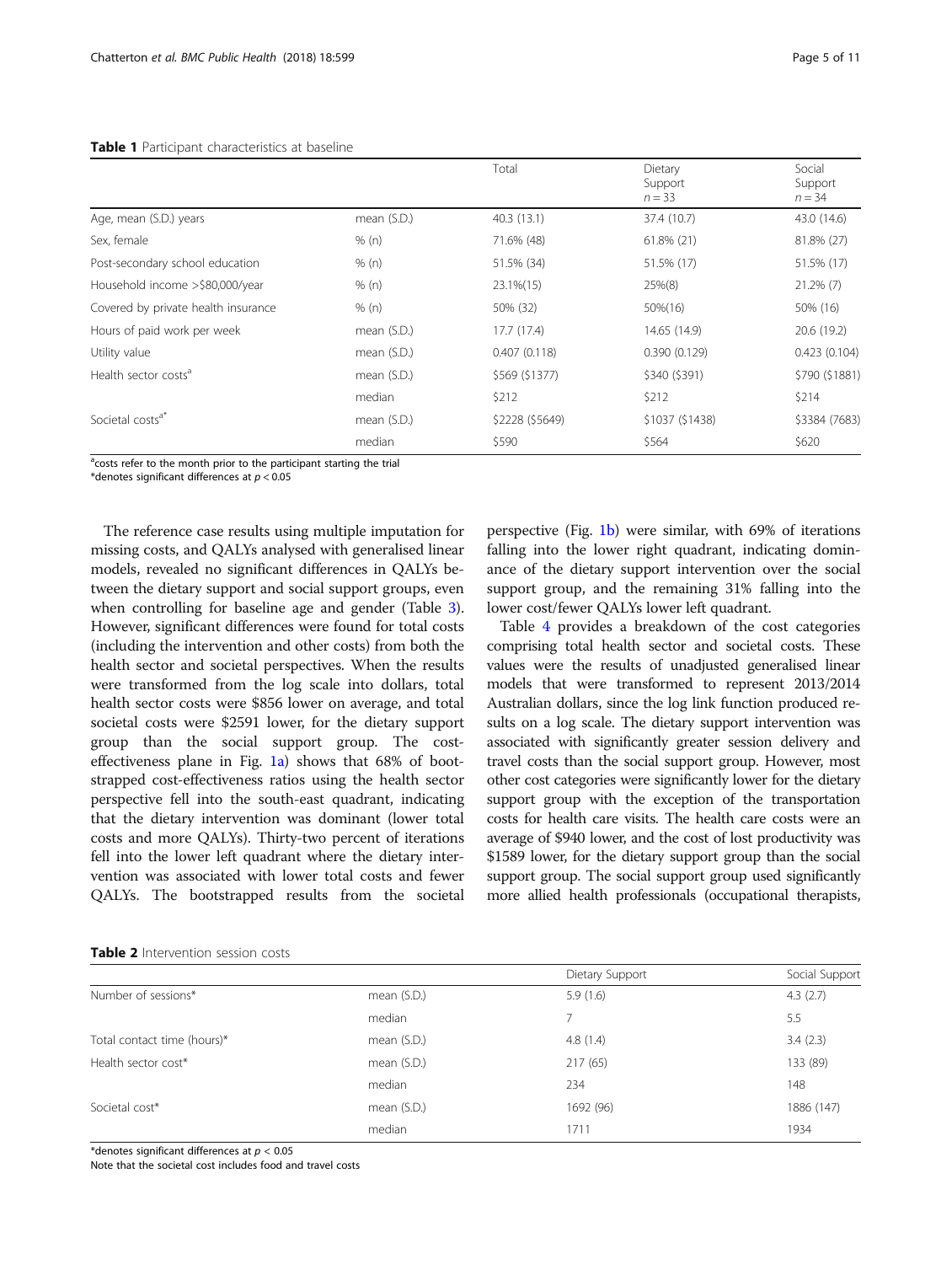#### <span id="page-4-0"></span>Table 1 Participant characteristics at baseline

|                                     |             | Total           | Dietary<br>Support<br>$n = 33$ | Social<br>Support<br>$n = 34$ |
|-------------------------------------|-------------|-----------------|--------------------------------|-------------------------------|
| Age, mean (S.D.) years              | mean (S.D.) | 40.3(13.1)      | 37.4 (10.7)                    | 43.0 (14.6)                   |
| Sex, female                         | % (n)       | 71.6% (48)      | 61.8% (21)                     | 81.8% (27)                    |
| Post-secondary school education     | % (n)       | 51.5% (34)      | 51.5% (17)                     | 51.5% (17)                    |
| Household income >\$80,000/year     | % (n)       | 23.1%(15)       | 25%(8)                         | $21.2\%$ (7)                  |
| Covered by private health insurance | % (n)       | 50% (32)        | 50%(16)                        | 50% (16)                      |
| Hours of paid work per week         | mean (S.D.) | 17.7(17.4)      | 14.65 (14.9)                   | 20.6(19.2)                    |
| Utility value                       | mean (S.D.) | 0.407(0.118)    | 0.390(0.129)                   | 0.423(0.104)                  |
| Health sector costs <sup>a</sup>    | mean (S.D.) | \$569 (\$1377)  | \$340 (\$391)                  | \$790 (\$1881)                |
|                                     | median      | \$212           | \$212                          | \$214                         |
| Societal costs <sup>a*</sup>        | mean (S.D.) | \$2228 (\$5649) | \$1037 (\$1438)                | \$3384 (7683)                 |
|                                     | median      | \$590           | \$564                          | \$620                         |

<sup>a</sup>costs refer to the month prior to the participant starting the trial

\*denotes significant differences at  $p < 0.05$ 

The reference case results using multiple imputation for missing costs, and QALYs analysed with generalised linear models, revealed no significant differences in QALYs between the dietary support and social support groups, even when controlling for baseline age and gender (Table [3](#page-5-0)). However, significant differences were found for total costs (including the intervention and other costs) from both the health sector and societal perspectives. When the results were transformed from the log scale into dollars, total health sector costs were \$856 lower on average, and total societal costs were \$2591 lower, for the dietary support group than the social support group. The costeffectiveness plane in Fig.  $1a$ ) shows that 68% of bootstrapped cost-effectiveness ratios using the health sector perspective fell into the south-east quadrant, indicating that the dietary intervention was dominant (lower total costs and more QALYs). Thirty-two percent of iterations fell into the lower left quadrant where the dietary intervention was associated with lower total costs and fewer QALYs. The bootstrapped results from the societal

perspective (Fig. [1b\)](#page-5-0) were similar, with 69% of iterations falling into the lower right quadrant, indicating dominance of the dietary support intervention over the social support group, and the remaining 31% falling into the lower cost/fewer QALYs lower left quadrant.

Table [4](#page-6-0) provides a breakdown of the cost categories comprising total health sector and societal costs. These values were the results of unadjusted generalised linear models that were transformed to represent 2013/2014 Australian dollars, since the log link function produced results on a log scale. The dietary support intervention was associated with significantly greater session delivery and travel costs than the social support group. However, most other cost categories were significantly lower for the dietary support group with the exception of the transportation costs for health care visits. The health care costs were an average of \$940 lower, and the cost of lost productivity was \$1589 lower, for the dietary support group than the social support group. The social support group used significantly more allied health professionals (occupational therapists,

| <b>Table 2</b> Intervention session costs |
|-------------------------------------------|
|-------------------------------------------|

|                             |             | Dietary Support | Social Support |
|-----------------------------|-------------|-----------------|----------------|
| Number of sessions*         | mean (S.D.) | 5.9(1.6)        | 4.3(2.7)       |
|                             | median      |                 | 5.5            |
| Total contact time (hours)* | mean (S.D.) | 4.8(1.4)        | 3.4(2.3)       |
| Health sector cost*         | mean (S.D.) | 217(65)         | 133 (89)       |
|                             | median      | 234             | 148            |
| Societal cost*              | mean (S.D.) | 1692 (96)       | 1886 (147)     |
|                             | median      | 1711            | 1934           |

\*denotes significant differences at  $p < 0.05$ 

Note that the societal cost includes food and travel costs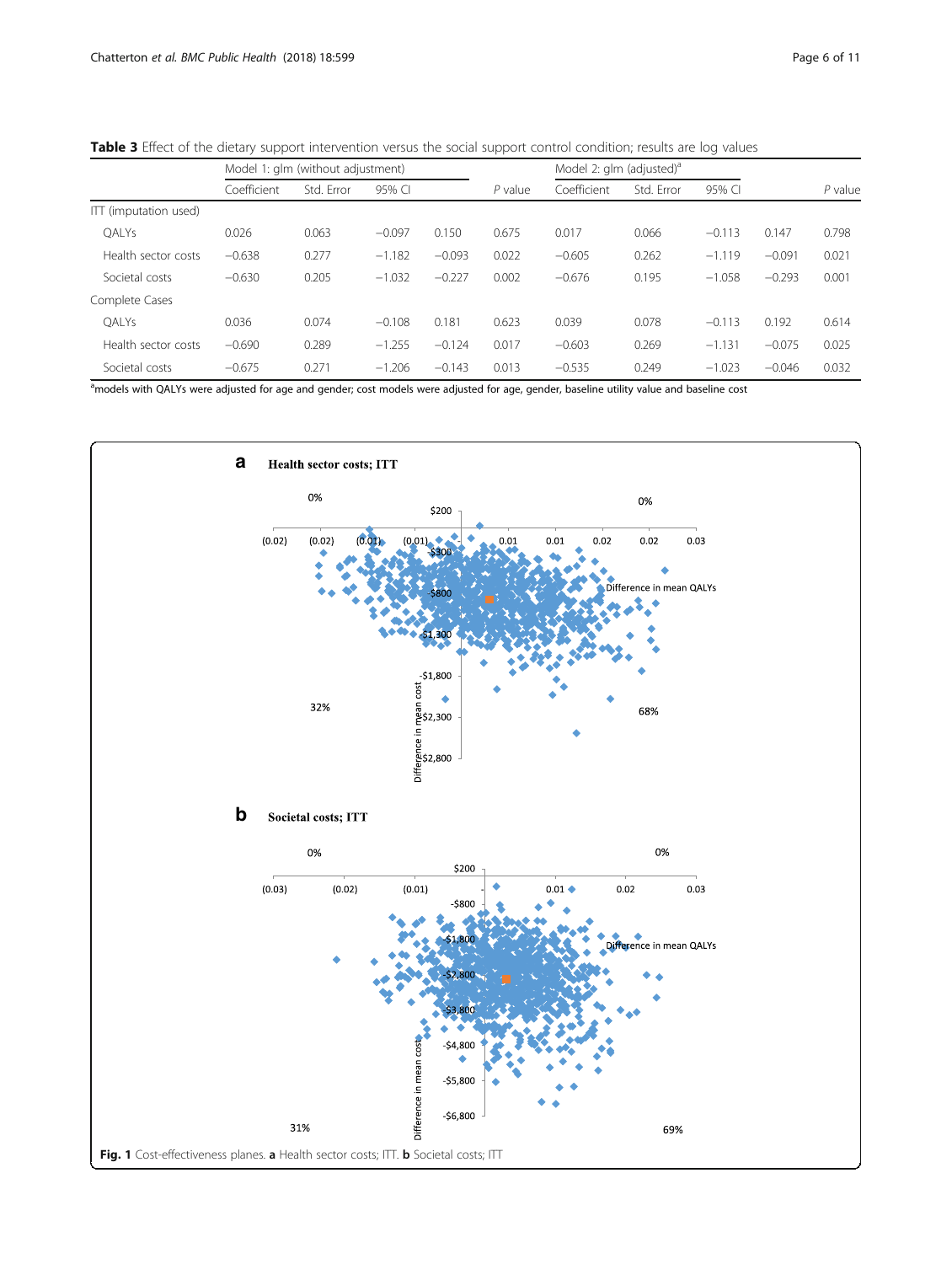|                       | Model 1: glm (without adjustment) |            |          | Model 2: glm (adjusted) <sup>a</sup> |           |             |            |          |          |           |
|-----------------------|-----------------------------------|------------|----------|--------------------------------------|-----------|-------------|------------|----------|----------|-----------|
|                       | Coefficient                       | Std. Error | 95% CI   |                                      | $P$ value | Coefficient | Std. Error | 95% CI   |          | $P$ value |
| ITT (imputation used) |                                   |            |          |                                      |           |             |            |          |          |           |
| OALYs                 | 0.026                             | 0.063      | $-0.097$ | 0.150                                | 0.675     | 0.017       | 0.066      | $-0.113$ | 0.147    | 0.798     |
| Health sector costs   | $-0.638$                          | 0.277      | $-1.182$ | $-0.093$                             | 0.022     | $-0.605$    | 0.262      | $-1.119$ | $-0.091$ | 0.021     |
| Societal costs        | $-0.630$                          | 0.205      | $-1.032$ | $-0.227$                             | 0.002     | $-0.676$    | 0.195      | $-1.058$ | $-0.293$ | 0.001     |
| Complete Cases        |                                   |            |          |                                      |           |             |            |          |          |           |
| OALYs                 | 0.036                             | 0.074      | $-0.108$ | 0.181                                | 0.623     | 0.039       | 0.078      | $-0.113$ | 0.192    | 0.614     |
| Health sector costs   | $-0.690$                          | 0.289      | $-1.255$ | $-0.124$                             | 0.017     | $-0.603$    | 0.269      | $-1.131$ | $-0.075$ | 0.025     |
| Societal costs        | $-0.675$                          | 0.271      | $-1.206$ | $-0.143$                             | 0.013     | $-0.535$    | 0.249      | $-1.023$ | $-0.046$ | 0.032     |

<span id="page-5-0"></span>Table 3 Effect of the dietary support intervention versus the social support control condition; results are log values

<sup>a</sup>models with QALYs were adjusted for age and gender; cost models were adjusted for age, gender, baseline utility value and baseline cost

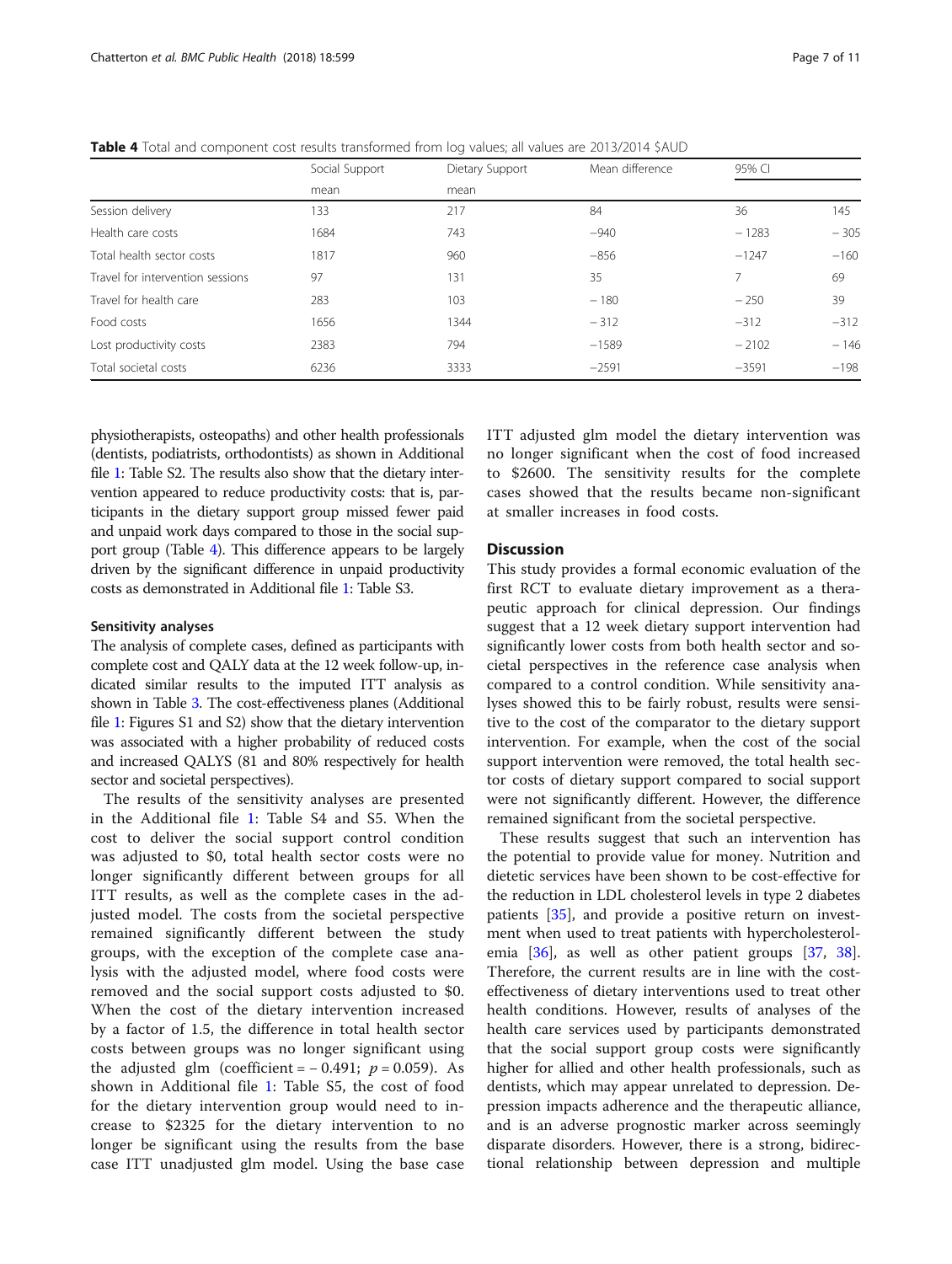<span id="page-6-0"></span>**Table 4** Total and component cost results transformed from log values; all values are 2013/2014 \$AUD

|                                  | Social Support | Dietary Support | Mean difference | 95% CI  |        |
|----------------------------------|----------------|-----------------|-----------------|---------|--------|
|                                  | mean           | mean            |                 |         |        |
| Session delivery                 | 133            | 217             | 84              | 36      | 145    |
| Health care costs                | 1684           | 743             | $-940$          | $-1283$ | $-305$ |
| Total health sector costs        | 1817           | 960             | $-856$          | $-1247$ | $-160$ |
| Travel for intervention sessions | 97             | 131             | 35              | 7.      | 69     |
| Travel for health care           | 283            | 103             | $-180$          | $-250$  | 39     |
| Food costs                       | 1656           | 1344            | $-312$          | $-312$  | $-312$ |
| Lost productivity costs          | 2383           | 794             | $-1589$         | $-2102$ | $-146$ |
| Total societal costs             | 6236           | 3333            | $-2591$         | $-3591$ | $-198$ |

physiotherapists, osteopaths) and other health professionals (dentists, podiatrists, orthodontists) as shown in Additional file [1:](#page-8-0) Table S2. The results also show that the dietary intervention appeared to reduce productivity costs: that is, participants in the dietary support group missed fewer paid and unpaid work days compared to those in the social support group (Table 4). This difference appears to be largely driven by the significant difference in unpaid productivity costs as demonstrated in Additional file [1:](#page-8-0) Table S3.

#### Sensitivity analyses

The analysis of complete cases, defined as participants with complete cost and QALY data at the 12 week follow-up, indicated similar results to the imputed ITT analysis as shown in Table [3.](#page-5-0) The cost-effectiveness planes (Additional file [1:](#page-8-0) Figures S1 and S2) show that the dietary intervention was associated with a higher probability of reduced costs and increased QALYS (81 and 80% respectively for health sector and societal perspectives).

The results of the sensitivity analyses are presented in the Additional file [1:](#page-8-0) Table S4 and S5. When the cost to deliver the social support control condition was adjusted to \$0, total health sector costs were no longer significantly different between groups for all ITT results, as well as the complete cases in the adjusted model. The costs from the societal perspective remained significantly different between the study groups, with the exception of the complete case analysis with the adjusted model, where food costs were removed and the social support costs adjusted to \$0. When the cost of the dietary intervention increased by a factor of 1.5, the difference in total health sector costs between groups was no longer significant using the adjusted glm (coefficient =  $-0.491$ ;  $p = 0.059$ ). As shown in Additional file [1:](#page-8-0) Table S5, the cost of food for the dietary intervention group would need to increase to \$2325 for the dietary intervention to no longer be significant using the results from the base case ITT unadjusted glm model. Using the base case ITT adjusted glm model the dietary intervention was no longer significant when the cost of food increased to \$2600. The sensitivity results for the complete cases showed that the results became non-significant at smaller increases in food costs.

#### **Discussion**

This study provides a formal economic evaluation of the first RCT to evaluate dietary improvement as a therapeutic approach for clinical depression. Our findings suggest that a 12 week dietary support intervention had significantly lower costs from both health sector and societal perspectives in the reference case analysis when compared to a control condition. While sensitivity analyses showed this to be fairly robust, results were sensitive to the cost of the comparator to the dietary support intervention. For example, when the cost of the social support intervention were removed, the total health sector costs of dietary support compared to social support were not significantly different. However, the difference remained significant from the societal perspective.

These results suggest that such an intervention has the potential to provide value for money. Nutrition and dietetic services have been shown to be cost-effective for the reduction in LDL cholesterol levels in type 2 diabetes patients [[35\]](#page-9-0), and provide a positive return on investment when used to treat patients with hypercholesterol-emia [[36](#page-9-0)], as well as other patient groups [\[37](#page-9-0), [38](#page-9-0)]. Therefore, the current results are in line with the costeffectiveness of dietary interventions used to treat other health conditions. However, results of analyses of the health care services used by participants demonstrated that the social support group costs were significantly higher for allied and other health professionals, such as dentists, which may appear unrelated to depression. Depression impacts adherence and the therapeutic alliance, and is an adverse prognostic marker across seemingly disparate disorders. However, there is a strong, bidirectional relationship between depression and multiple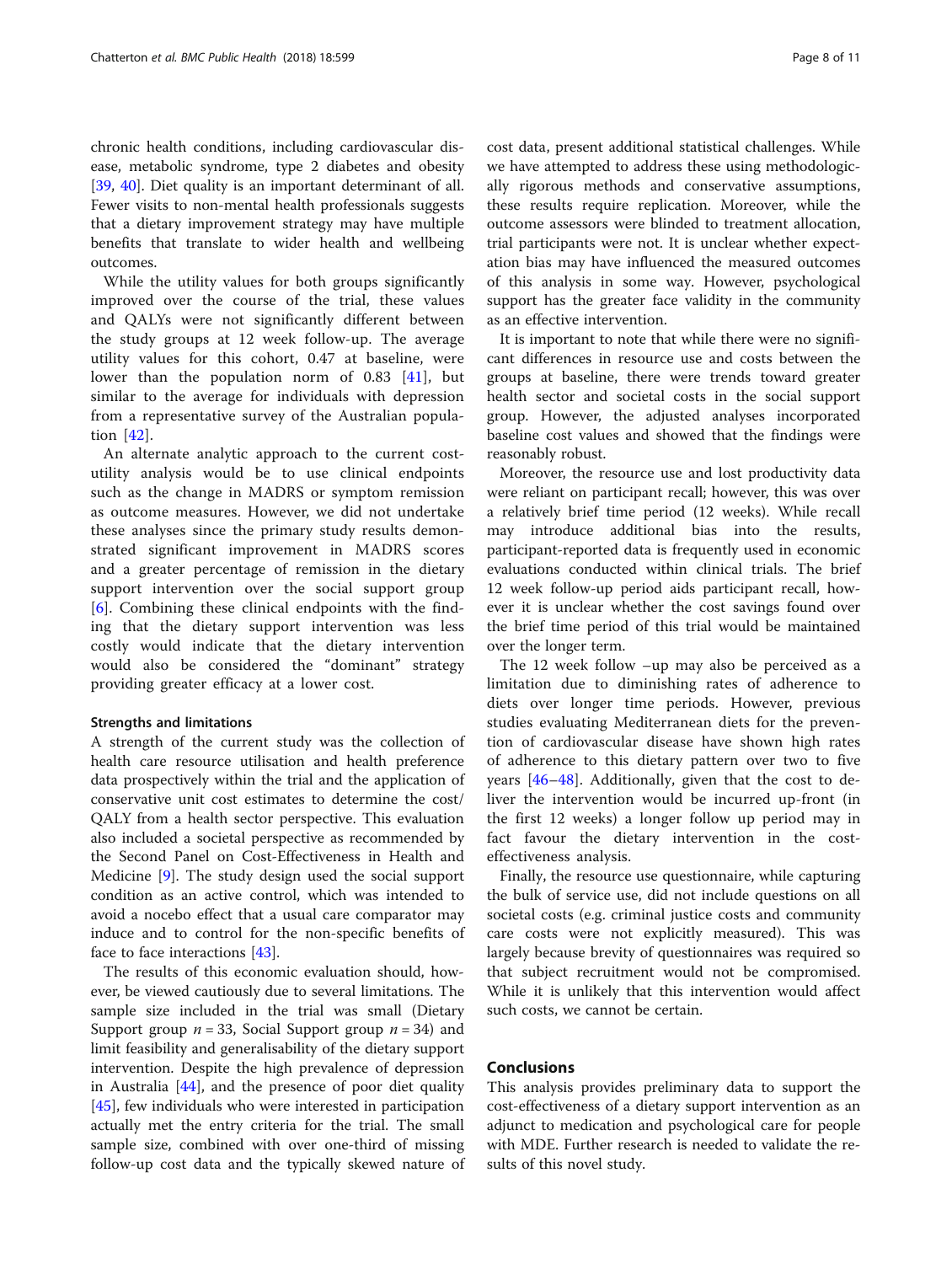chronic health conditions, including cardiovascular disease, metabolic syndrome, type 2 diabetes and obesity [[39,](#page-9-0) [40](#page-9-0)]. Diet quality is an important determinant of all. Fewer visits to non-mental health professionals suggests that a dietary improvement strategy may have multiple benefits that translate to wider health and wellbeing outcomes.

While the utility values for both groups significantly improved over the course of the trial, these values and QALYs were not significantly different between the study groups at 12 week follow-up. The average utility values for this cohort, 0.47 at baseline, were lower than the population norm of 0.83 [[41\]](#page-9-0), but similar to the average for individuals with depression from a representative survey of the Australian population [[42](#page-9-0)].

An alternate analytic approach to the current costutility analysis would be to use clinical endpoints such as the change in MADRS or symptom remission as outcome measures. However, we did not undertake these analyses since the primary study results demonstrated significant improvement in MADRS scores and a greater percentage of remission in the dietary support intervention over the social support group [[6\]](#page-9-0). Combining these clinical endpoints with the finding that the dietary support intervention was less costly would indicate that the dietary intervention would also be considered the "dominant" strategy providing greater efficacy at a lower cost.

#### Strengths and limitations

A strength of the current study was the collection of health care resource utilisation and health preference data prospectively within the trial and the application of conservative unit cost estimates to determine the cost/ QALY from a health sector perspective. This evaluation also included a societal perspective as recommended by the Second Panel on Cost-Effectiveness in Health and Medicine [[9\]](#page-9-0). The study design used the social support condition as an active control, which was intended to avoid a nocebo effect that a usual care comparator may induce and to control for the non-specific benefits of face to face interactions [\[43\]](#page-9-0).

The results of this economic evaluation should, however, be viewed cautiously due to several limitations. The sample size included in the trial was small (Dietary Support group  $n = 33$ , Social Support group  $n = 34$ ) and limit feasibility and generalisability of the dietary support intervention. Despite the high prevalence of depression in Australia [[44\]](#page-9-0), and the presence of poor diet quality [[45\]](#page-10-0), few individuals who were interested in participation actually met the entry criteria for the trial. The small sample size, combined with over one-third of missing follow-up cost data and the typically skewed nature of cost data, present additional statistical challenges. While we have attempted to address these using methodologically rigorous methods and conservative assumptions, these results require replication. Moreover, while the outcome assessors were blinded to treatment allocation, trial participants were not. It is unclear whether expectation bias may have influenced the measured outcomes of this analysis in some way. However, psychological support has the greater face validity in the community as an effective intervention.

It is important to note that while there were no significant differences in resource use and costs between the groups at baseline, there were trends toward greater health sector and societal costs in the social support group. However, the adjusted analyses incorporated baseline cost values and showed that the findings were reasonably robust.

Moreover, the resource use and lost productivity data were reliant on participant recall; however, this was over a relatively brief time period (12 weeks). While recall may introduce additional bias into the results, participant-reported data is frequently used in economic evaluations conducted within clinical trials. The brief 12 week follow-up period aids participant recall, however it is unclear whether the cost savings found over the brief time period of this trial would be maintained over the longer term.

The 12 week follow –up may also be perceived as a limitation due to diminishing rates of adherence to diets over longer time periods. However, previous studies evaluating Mediterranean diets for the prevention of cardiovascular disease have shown high rates of adherence to this dietary pattern over two to five years [\[46](#page-10-0)–[48](#page-10-0)]. Additionally, given that the cost to deliver the intervention would be incurred up-front (in the first 12 weeks) a longer follow up period may in fact favour the dietary intervention in the costeffectiveness analysis.

Finally, the resource use questionnaire, while capturing the bulk of service use, did not include questions on all societal costs (e.g. criminal justice costs and community care costs were not explicitly measured). This was largely because brevity of questionnaires was required so that subject recruitment would not be compromised. While it is unlikely that this intervention would affect such costs, we cannot be certain.

#### Conclusions

This analysis provides preliminary data to support the cost-effectiveness of a dietary support intervention as an adjunct to medication and psychological care for people with MDE. Further research is needed to validate the results of this novel study.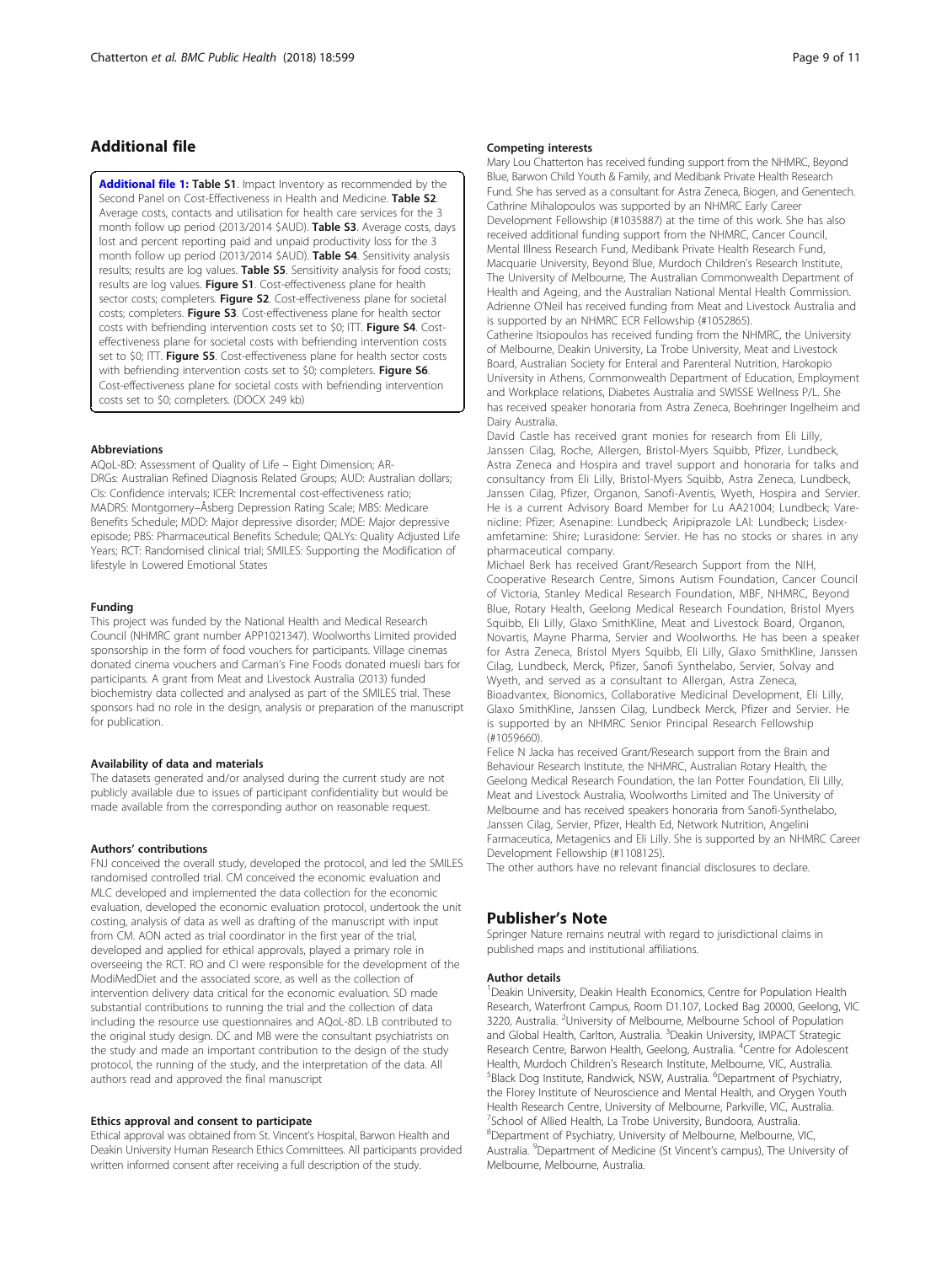#### <span id="page-8-0"></span>Additional file

[Additional file 1:](https://doi.org/10.1186/s12889-018-5504-8) Table S1. Impact Inventory as recommended by the Second Panel on Cost-Effectiveness in Health and Medicine. Table S2. Average costs, contacts and utilisation for health care services for the 3 month follow up period (2013/2014 \$AUD). Table S3. Average costs, days lost and percent reporting paid and unpaid productivity loss for the 3 month follow up period (2013/2014 \$AUD). Table S4. Sensitivity analysis results; results are log values. Table S5. Sensitivity analysis for food costs; results are log values. Figure S1. Cost-effectiveness plane for health sector costs; completers. Figure S2. Cost-effectiveness plane for societal costs; completers. Figure S3. Cost-effectiveness plane for health sector costs with befriending intervention costs set to \$0; ITT. Figure S4. Costeffectiveness plane for societal costs with befriending intervention costs set to \$0; ITT. Figure S5. Cost-effectiveness plane for health sector costs with befriending intervention costs set to \$0; completers. Figure S6. Cost-effectiveness plane for societal costs with befriending intervention costs set to \$0; completers. (DOCX 249 kb)

#### Abbreviations

AQoL-8D: Assessment of Quality of Life – Eight Dimension; AR-DRGs: Australian Refined Diagnosis Related Groups; AUD: Australian dollars; CIs: Confidence intervals; ICER: Incremental cost-effectiveness ratio; MADRS: Montgomery–Åsberg Depression Rating Scale; MBS: Medicare Benefits Schedule; MDD: Major depressive disorder; MDE: Major depressive episode; PBS: Pharmaceutical Benefits Schedule; QALYs: Quality Adjusted Life Years; RCT: Randomised clinical trial; SMILES: Supporting the Modification of lifestyle In Lowered Emotional States

#### Funding

This project was funded by the National Health and Medical Research Council (NHMRC grant number APP1021347). Woolworths Limited provided sponsorship in the form of food vouchers for participants. Village cinemas donated cinema vouchers and Carman's Fine Foods donated muesli bars for participants. A grant from Meat and Livestock Australia (2013) funded biochemistry data collected and analysed as part of the SMILES trial. These sponsors had no role in the design, analysis or preparation of the manuscript for publication.

#### Availability of data and materials

The datasets generated and/or analysed during the current study are not publicly available due to issues of participant confidentiality but would be made available from the corresponding author on reasonable request.

#### Authors' contributions

FNJ conceived the overall study, developed the protocol, and led the SMILES randomised controlled trial. CM conceived the economic evaluation and MLC developed and implemented the data collection for the economic evaluation, developed the economic evaluation protocol, undertook the unit costing, analysis of data as well as drafting of the manuscript with input from CM. AON acted as trial coordinator in the first year of the trial, developed and applied for ethical approvals, played a primary role in overseeing the RCT. RO and CI were responsible for the development of the ModiMedDiet and the associated score, as well as the collection of intervention delivery data critical for the economic evaluation. SD made substantial contributions to running the trial and the collection of data including the resource use questionnaires and AQoL-8D. LB contributed to the original study design. DC and MB were the consultant psychiatrists on the study and made an important contribution to the design of the study protocol, the running of the study, and the interpretation of the data. All authors read and approved the final manuscript

#### Ethics approval and consent to participate

Ethical approval was obtained from St. Vincent's Hospital, Barwon Health and Deakin University Human Research Ethics Committees. All participants provided written informed consent after receiving a full description of the study.

#### Competing interests

Mary Lou Chatterton has received funding support from the NHMRC, Beyond Blue, Barwon Child Youth & Family, and Medibank Private Health Research Fund. She has served as a consultant for Astra Zeneca, Biogen, and Genentech. Cathrine Mihalopoulos was supported by an NHMRC Early Career Development Fellowship (#1035887) at the time of this work. She has also received additional funding support from the NHMRC, Cancer Council, Mental Illness Research Fund, Medibank Private Health Research Fund, Macquarie University, Beyond Blue, Murdoch Children's Research Institute, The University of Melbourne, The Australian Commonwealth Department of Health and Ageing, and the Australian National Mental Health Commission. Adrienne O'Neil has received funding from Meat and Livestock Australia and is supported by an NHMRC ECR Fellowship (#1052865). Catherine Itsiopoulos has received funding from the NHMRC, the University of Melbourne, Deakin University, La Trobe University, Meat and Livestock

Board, Australian Society for Enteral and Parenteral Nutrition, Harokopio University in Athens, Commonwealth Department of Education, Employment and Workplace relations, Diabetes Australia and SWISSE Wellness P/L. She has received speaker honoraria from Astra Zeneca, Boehringer Ingelheim and Dairy Australia.

David Castle has received grant monies for research from Eli Lilly, Janssen Cilag, Roche, Allergen, Bristol-Myers Squibb, Pfizer, Lundbeck, Astra Zeneca and Hospira and travel support and honoraria for talks and consultancy from Eli Lilly, Bristol-Myers Squibb, Astra Zeneca, Lundbeck, Janssen Cilag, Pfizer, Organon, Sanofi-Aventis, Wyeth, Hospira and Servier. He is a current Advisory Board Member for Lu AA21004; Lundbeck; Varenicline: Pfizer; Asenapine: Lundbeck; Aripiprazole LAI: Lundbeck; Lisdexamfetamine: Shire; Lurasidone: Servier. He has no stocks or shares in any pharmaceutical company.

Michael Berk has received Grant/Research Support from the NIH, Cooperative Research Centre, Simons Autism Foundation, Cancer Council of Victoria, Stanley Medical Research Foundation, MBF, NHMRC, Beyond Blue, Rotary Health, Geelong Medical Research Foundation, Bristol Myers Squibb, Eli Lilly, Glaxo SmithKline, Meat and Livestock Board, Organon, Novartis, Mayne Pharma, Servier and Woolworths. He has been a speaker for Astra Zeneca, Bristol Myers Squibb, Eli Lilly, Glaxo SmithKline, Janssen Cilag, Lundbeck, Merck, Pfizer, Sanofi Synthelabo, Servier, Solvay and Wyeth, and served as a consultant to Allergan, Astra Zeneca, Bioadvantex, Bionomics, Collaborative Medicinal Development, Eli Lilly, Glaxo SmithKline, Janssen Cilag, Lundbeck Merck, Pfizer and Servier. He is supported by an NHMRC Senior Principal Research Fellowship (#1059660).

Felice N Jacka has received Grant/Research support from the Brain and Behaviour Research Institute, the NHMRC, Australian Rotary Health, the Geelong Medical Research Foundation, the Ian Potter Foundation, Eli Lilly, Meat and Livestock Australia, Woolworths Limited and The University of Melbourne and has received speakers honoraria from Sanofi-Synthelabo, Janssen Cilag, Servier, Pfizer, Health Ed, Network Nutrition, Angelini Farmaceutica, Metagenics and Eli Lilly. She is supported by an NHMRC Career Development Fellowship (#1108125).

The other authors have no relevant financial disclosures to declare.

#### Publisher's Note

Springer Nature remains neutral with regard to jurisdictional claims in published maps and institutional affiliations.

#### Author details

<sup>1</sup> Deakin University, Deakin Health Economics, Centre for Population Health Research, Waterfront Campus, Room D1.107, Locked Bag 20000, Geelong, VIC 3220, Australia. <sup>2</sup>University of Melbourne, Melbourne School of Population and Global Health, Carlton, Australia. <sup>3</sup>Deakin University, IMPACT Strategic Research Centre, Barwon Health, Geelong, Australia. <sup>4</sup>Centre for Adolescent Health, Murdoch Children's Research Institute, Melbourne, VIC, Australia. <sup>5</sup> Black Dog Institute, Randwick, NSW, Australia. <sup>6</sup>Department of Psychiatry the Florey Institute of Neuroscience and Mental Health, and Orygen Youth Health Research Centre, University of Melbourne, Parkville, VIC, Australia. 7 School of Allied Health, La Trobe University, Bundoora, Australia. 8 Department of Psychiatry, University of Melbourne, Melbourne, VIC, Australia. <sup>9</sup>Department of Medicine (St Vincent's campus), The University of Melbourne, Melbourne, Australia.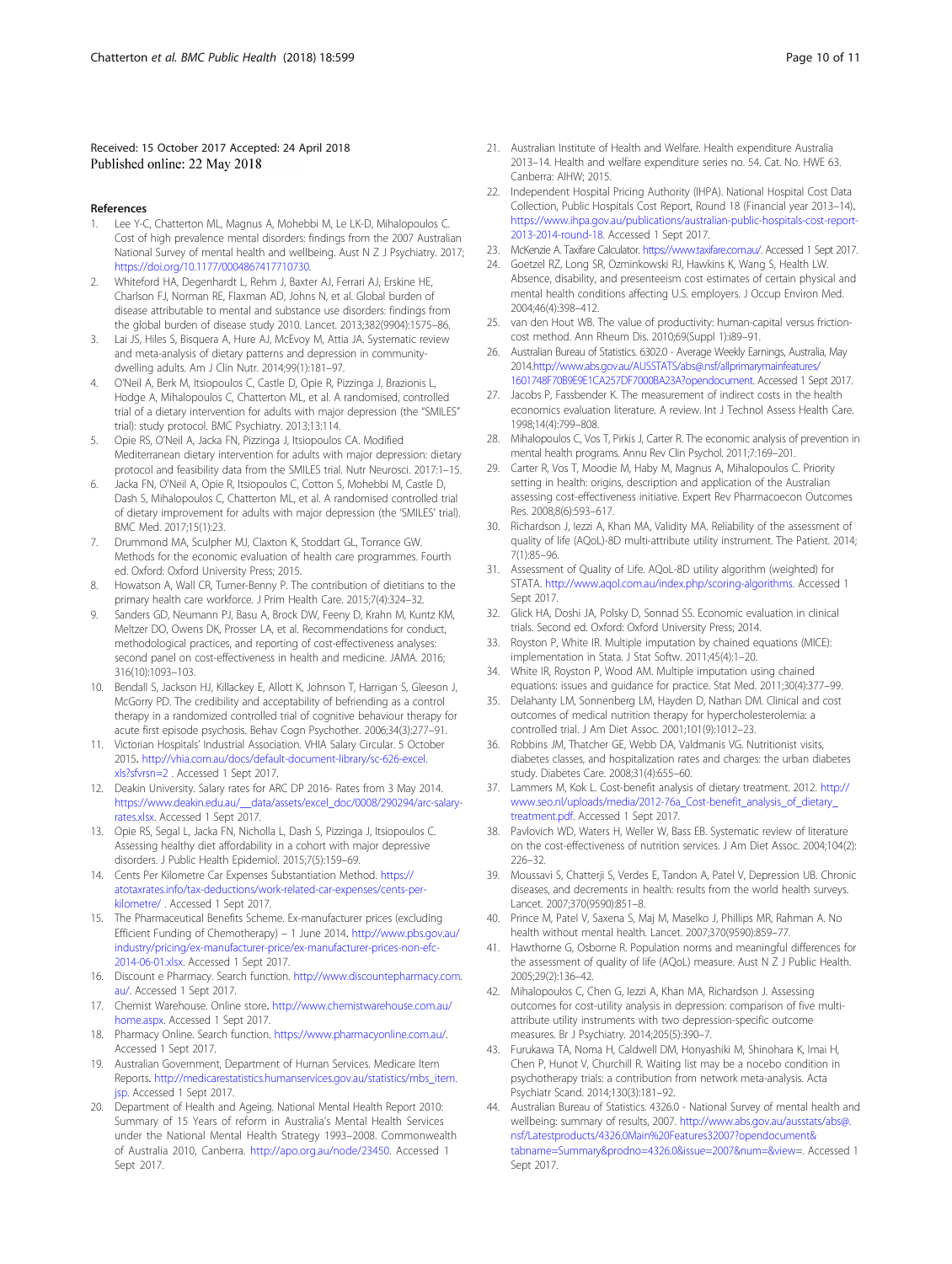#### <span id="page-9-0"></span>Received: 15 October 2017 Accepted: 24 April 2018 Published online: 22 May 2018

#### References

- 1. Lee Y-C, Chatterton ML, Magnus A, Mohebbi M, Le LK-D, Mihalopoulos C. Cost of high prevalence mental disorders: findings from the 2007 Australian National Survey of mental health and wellbeing. Aust N Z J Psychiatry. 2017; <https://doi.org/10.1177/0004867417710730>.
- 2. Whiteford HA, Degenhardt L, Rehm J, Baxter AJ, Ferrari AJ, Erskine HE, Charlson FJ, Norman RE, Flaxman AD, Johns N, et al. Global burden of disease attributable to mental and substance use disorders: findings from the global burden of disease study 2010. Lancet. 2013;382(9904):1575–86.
- 3. Lai JS, Hiles S, Bisquera A, Hure AJ, McEvoy M, Attia JA. Systematic review and meta-analysis of dietary patterns and depression in communitydwelling adults. Am J Clin Nutr. 2014;99(1):181–97.
- 4. O'Neil A, Berk M, Itsiopoulos C, Castle D, Opie R, Pizzinga J, Brazionis L, Hodge A, Mihalopoulos C, Chatterton ML, et al. A randomised, controlled trial of a dietary intervention for adults with major depression (the "SMILES" trial): study protocol. BMC Psychiatry. 2013;13:114.
- 5. Opie RS, O'Neil A, Jacka FN, Pizzinga J, Itsiopoulos CA. Modified Mediterranean dietary intervention for adults with major depression: dietary protocol and feasibility data from the SMILES trial. Nutr Neurosci. 2017:1–15.
- Jacka FN, O'Neil A, Opie R, Itsiopoulos C, Cotton S, Mohebbi M, Castle D, Dash S, Mihalopoulos C, Chatterton ML, et al. A randomised controlled trial of dietary improvement for adults with major depression (the 'SMILES' trial). BMC Med. 2017;15(1):23.
- 7. Drummond MA, Sculpher MJ, Claxton K, Stoddart GL, Torrance GW. Methods for the economic evaluation of health care programmes. Fourth ed. Oxford: Oxford University Press; 2015.
- Howatson A, Wall CR, Turner-Benny P. The contribution of dietitians to the primary health care workforce. J Prim Health Care. 2015;7(4):324–32.
- Sanders GD, Neumann PJ, Basu A, Brock DW, Feeny D, Krahn M, Kuntz KM, Meltzer DO, Owens DK, Prosser LA, et al. Recommendations for conduct, methodological practices, and reporting of cost-effectiveness analyses: second panel on cost-effectiveness in health and medicine. JAMA. 2016; 316(10):1093–103.
- 10. Bendall S, Jackson HJ, Killackey E, Allott K, Johnson T, Harrigan S, Gleeson J, McGorry PD. The credibility and acceptability of befriending as a control therapy in a randomized controlled trial of cognitive behaviour therapy for acute first episode psychosis. Behav Cogn Psychother. 2006;34(3):277–91.
- 11. Victorian Hospitals' Industrial Association. VHIA Salary Circular. 5 October 2015. [http://vhia.com.au/docs/default-document-library/sc-626-excel.](http://vhia.com.au/docs/default-document-library/sc-626-excel.xls?sfvrsn=2) [xls?sfvrsn=2](http://vhia.com.au/docs/default-document-library/sc-626-excel.xls?sfvrsn=2) . Accessed 1 Sept 2017.
- 12. Deakin University. Salary rates for ARC DP 2016- Rates from 3 May 2014. [https://www.deakin.edu.au/\\_\\_data/assets/excel\\_doc/0008/290294/arc-salary](https://www.deakin.edu.au/__data/assets/excel_doc/0008/290294/arc-salary-rates.xlsx)[rates.xlsx](https://www.deakin.edu.au/__data/assets/excel_doc/0008/290294/arc-salary-rates.xlsx). Accessed 1 Sept 2017.
- 13. Opie RS, Segal L, Jacka FN, Nicholla L, Dash S, Pizzinga J, Itsiopoulos C. Assessing healthy diet affordability in a cohort with major depressive disorders. J Public Health Epidemiol. 2015;7(5):159–69.
- 14. Cents Per Kilometre Car Expenses Substantiation Method. [https://](https://atotaxrates.info/tax-deductions/work-related-car-expenses/cents-per-kilometre/) [atotaxrates.info/tax-deductions/work-related-car-expenses/cents-per](https://atotaxrates.info/tax-deductions/work-related-car-expenses/cents-per-kilometre/)[kilometre/](https://atotaxrates.info/tax-deductions/work-related-car-expenses/cents-per-kilometre/) . Accessed 1 Sept 2017.
- 15. The Pharmaceutical Benefits Scheme. Ex-manufacturer prices (excluding Efficient Funding of Chemotherapy) – 1 June 2014. [http://www.pbs.gov.au/](http://www.pbs.gov.au/industry/pricing/ex-manufacturer-price/ex-manufacturer-prices-non-efc-2014-06-01.xlsx) [industry/pricing/ex-manufacturer-price/ex-manufacturer-prices-non-efc-](http://www.pbs.gov.au/industry/pricing/ex-manufacturer-price/ex-manufacturer-prices-non-efc-2014-06-01.xlsx)[2014-06-01.xlsx.](http://www.pbs.gov.au/industry/pricing/ex-manufacturer-price/ex-manufacturer-prices-non-efc-2014-06-01.xlsx) Accessed 1 Sept 2017.
- 16. Discount e Pharmacy. Search function. [http://www.discountepharmacy.com.](http://www.discountepharmacy.com.au/) [au/](http://www.discountepharmacy.com.au/). Accessed 1 Sept 2017.
- 17. Chemist Warehouse. Online store. [http://www.chemistwarehouse.com.au/](http://www.chemistwarehouse.com.au/home.aspx) [home.aspx](http://www.chemistwarehouse.com.au/home.aspx). Accessed 1 Sept 2017.
- 18. Pharmacy Online. Search function. <https://www.pharmacyonline.com.au/>. Accessed 1 Sept 2017.
- 19. Australian Government, Department of Human Services. Medicare Item Reports. [http://medicarestatistics.humanservices.gov.au/statistics/mbs\\_item.](http://medicarestatistics.humanservices.gov.au/statistics/mbs_item.jsp) [jsp.](http://medicarestatistics.humanservices.gov.au/statistics/mbs_item.jsp) Accessed 1 Sept 2017.
- 20. Department of Health and Ageing. National Mental Health Report 2010: Summary of 15 Years of reform in Australia's Mental Health Services under the National Mental Health Strategy 1993–2008. Commonwealth of Australia 2010, Canberra. [http://apo.org.au/node/23450.](http://apo.org.au/node/23450) Accessed 1 Sept 2017.
- 21. Australian Institute of Health and Welfare. Health expenditure Australia 2013–14. Health and welfare expenditure series no. 54. Cat. No. HWE 63. Canberra: AIHW; 2015.
- 22. Independent Hospital Pricing Authority (IHPA). National Hospital Cost Data Collection, Public Hospitals Cost Report, Round 18 (Financial year 2013–14). [https://www.ihpa.gov.au/publications/australian-public-hospitals-cost-report-](https://www.ihpa.gov.au/publications/australian-public-hospitals-cost-report-2013-2014-round-18)[2013-2014-round-18](https://www.ihpa.gov.au/publications/australian-public-hospitals-cost-report-2013-2014-round-18). Accessed 1 Sept 2017.
- 23. McKenzie A. Taxifare Calculator. <https://www.taxifare.com.au/>. Accessed 1 Sept 2017.
- 24. Goetzel RZ, Long SR, Ozminkowski RJ, Hawkins K, Wang S, Health LW. Absence, disability, and presenteeism cost estimates of certain physical and mental health conditions affecting U.S. employers. J Occup Environ Med. 2004;46(4):398–412.
- 25. van den Hout WB. The value of productivity: human-capital versus frictioncost method. Ann Rheum Dis. 2010;69(Suppl 1):i89–91.
- 26. Australian Bureau of Statistics. 6302.0 Average Weekly Earnings, Australia, May 2014.[http://www.abs.gov.au/AUSSTATS/abs@.nsf/allprimarymainfeatures/](http://www.abs.gov.au/AUSSTATS/abs@.nsf/allprimarymainfeatures/1601748F70B9E9E1CA257DF7000BA23A?opendocument) [1601748F70B9E9E1CA257DF7000BA23A?opendocument](http://www.abs.gov.au/AUSSTATS/abs@.nsf/allprimarymainfeatures/1601748F70B9E9E1CA257DF7000BA23A?opendocument). Accessed 1 Sept 2017.
- 27. Jacobs P, Fassbender K. The measurement of indirect costs in the health economics evaluation literature. A review. Int J Technol Assess Health Care. 1998;14(4):799–808.
- 28. Mihalopoulos C, Vos T, Pirkis J, Carter R. The economic analysis of prevention in mental health programs. Annu Rev Clin Psychol. 2011;7:169–201.
- 29. Carter R, Vos T, Moodie M, Haby M, Magnus A, Mihalopoulos C. Priority setting in health: origins, description and application of the Australian assessing cost-effectiveness initiative. Expert Rev Pharmacoecon Outcomes Res. 2008;8(6):593–617.
- 30. Richardson J, Iezzi A, Khan MA, Validity MA. Reliability of the assessment of quality of life (AQoL)-8D multi-attribute utility instrument. The Patient. 2014; 7(1):85–96.
- 31. Assessment of Quality of Life. AQoL-8D utility algorithm (weighted) for STATA. <http://www.aqol.com.au/index.php/scoring-algorithms>. Accessed 1 Sept 2017.
- 32. Glick HA, Doshi JA, Polsky D, Sonnad SS. Economic evaluation in clinical trials. Second ed. Oxford: Oxford University Press; 2014.
- 33. Royston P, White IR. Multiple imputation by chained equations (MICE): implementation in Stata. J Stat Softw. 2011;45(4):1–20.
- 34. White IR, Royston P, Wood AM. Multiple imputation using chained equations: issues and guidance for practice. Stat Med. 2011;30(4):377–99.
- 35. Delahanty LM, Sonnenberg LM, Hayden D, Nathan DM. Clinical and cost outcomes of medical nutrition therapy for hypercholesterolemia: a controlled trial. J Am Diet Assoc. 2001;101(9):1012–23.
- 36. Robbins JM, Thatcher GE, Webb DA, Valdmanis VG. Nutritionist visits, diabetes classes, and hospitalization rates and charges: the urban diabetes study. Diabetes Care. 2008;31(4):655–60.
- 37. Lammers M, Kok L. Cost-benefit analysis of dietary treatment. 2012. [http://](http://www.seo.nl/uploads/media/2012-76a_Cost-benefit_analysis_of_dietary_treatment.pdf) [www.seo.nl/uploads/media/2012-76a\\_Cost-benefit\\_analysis\\_of\\_dietary\\_](http://www.seo.nl/uploads/media/2012-76a_Cost-benefit_analysis_of_dietary_treatment.pdf) [treatment.pdf.](http://www.seo.nl/uploads/media/2012-76a_Cost-benefit_analysis_of_dietary_treatment.pdf) Accessed 1 Sept 2017.
- 38. Pavlovich WD, Waters H, Weller W, Bass EB. Systematic review of literature on the cost-effectiveness of nutrition services. J Am Diet Assoc. 2004;104(2): 226–32.
- 39. Moussavi S, Chatterji S, Verdes E, Tandon A, Patel V, Depression UB. Chronic diseases, and decrements in health: results from the world health surveys. Lancet. 2007;370(9590):851–8.
- 40. Prince M, Patel V, Saxena S, Maj M, Maselko J, Phillips MR, Rahman A. No health without mental health. Lancet. 2007;370(9590):859–77.
- 41. Hawthorne G, Osborne R. Population norms and meaningful differences for the assessment of quality of life (AQoL) measure. Aust N Z J Public Health. 2005;29(2):136–42.
- 42. Mihalopoulos C, Chen G, Iezzi A, Khan MA, Richardson J. Assessing outcomes for cost-utility analysis in depression: comparison of five multiattribute utility instruments with two depression-specific outcome measures. Br J Psychiatry. 2014;205(5):390–7.
- 43. Furukawa TA, Noma H, Caldwell DM, Honyashiki M, Shinohara K, Imai H, Chen P, Hunot V, Churchill R. Waiting list may be a nocebo condition in psychotherapy trials: a contribution from network meta-analysis. Acta Psychiatr Scand. 2014;130(3):181–92.
- 44. Australian Bureau of Statistics. 4326.0 National Survey of mental health and wellbeing: summary of results, 2007. [http://www.abs.gov.au/ausstats/abs@.](http://www.abs.gov.au/ausstats/abs@.nsf/Latestproducts/4326.0Main%20Features32007?opendocument&tabname=Summary&prodno=4326.0&issue=2007&num=&view) [nsf/Latestproducts/4326.0Main%20Features32007?opendocument&](http://www.abs.gov.au/ausstats/abs@.nsf/Latestproducts/4326.0Main%20Features32007?opendocument&tabname=Summary&prodno=4326.0&issue=2007&num=&view) [tabname=Summary&prodno=4326.0&issue=2007&num=&view=](http://www.abs.gov.au/ausstats/abs@.nsf/Latestproducts/4326.0Main%20Features32007?opendocument&tabname=Summary&prodno=4326.0&issue=2007&num=&view). Accessed 1 Sept 2017.